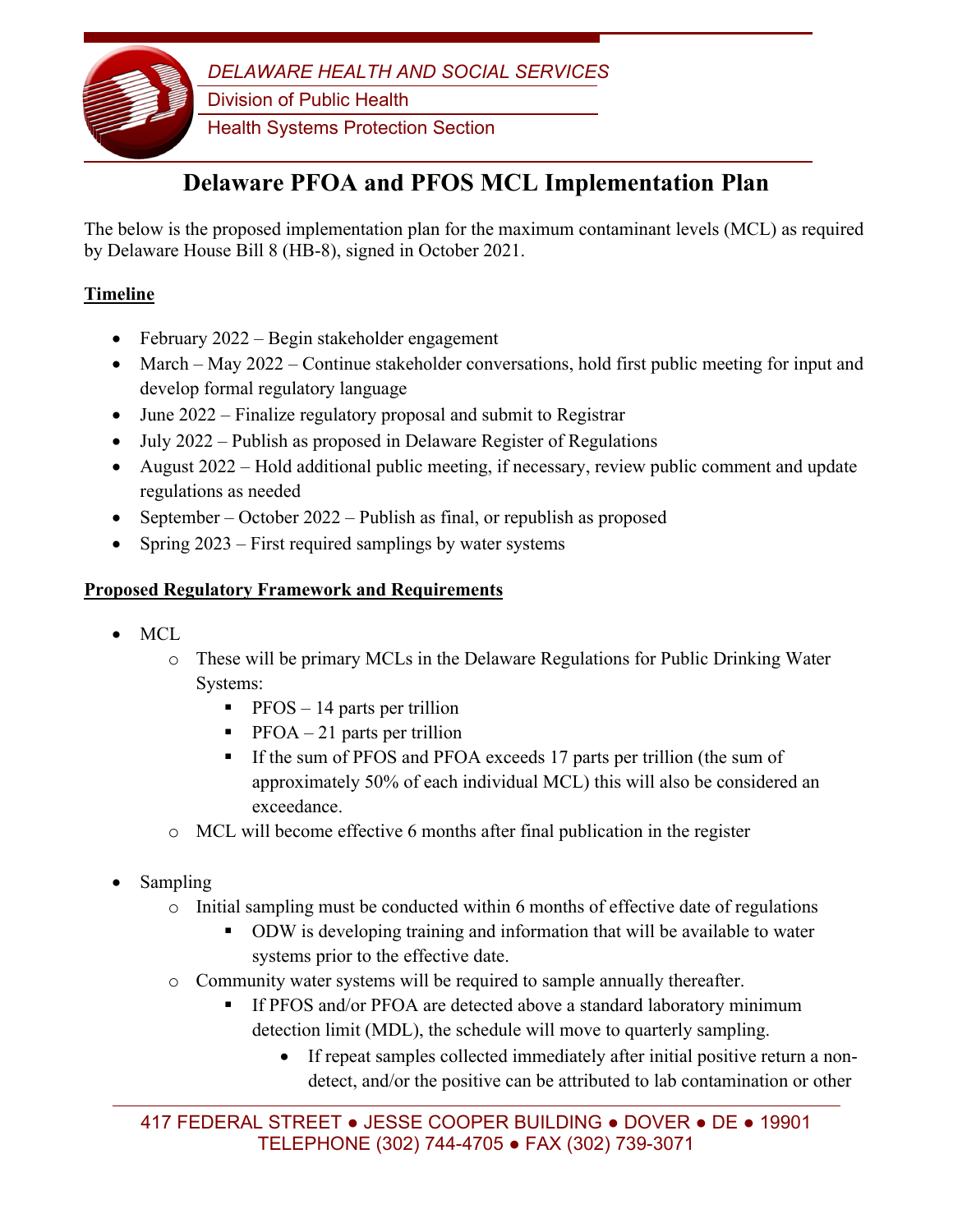

# **Delaware PFOA and PFOS MCL Implementation Plan**

The below is the proposed implementation plan for the maximum contaminant levels (MCL) as required by Delaware House Bill 8 (HB-8), signed in October 2021.

## **Timeline**

- February 2022 Begin stakeholder engagement
- March May 2022 Continue stakeholder conversations, hold first public meeting for input and develop formal regulatory language
- June 2022 Finalize regulatory proposal and submit to Registrar
- July 2022 Publish as proposed in Delaware Register of Regulations
- August 2022 Hold additional public meeting, if necessary, review public comment and update regulations as needed
- September October 2022 Publish as final, or republish as proposed
- Spring 2023 First required samplings by water systems

### **Proposed Regulatory Framework and Requirements**

- MCL
	- o These will be primary MCLs in the Delaware Regulations for Public Drinking Water Systems:
		- $\blacksquare$  PFOS 14 parts per trillion
		- $\blacksquare$  PFOA 21 parts per trillion
		- If the sum of PFOS and PFOA exceeds 17 parts per trillion (the sum of approximately 50% of each individual MCL) this will also be considered an exceedance.
	- o MCL will become effective 6 months after final publication in the register
- Sampling
	- $\circ$  Initial sampling must be conducted within 6 months of effective date of regulations
		- **DDW** is developing training and information that will be available to water systems prior to the effective date.
	- o Community water systems will be required to sample annually thereafter.
		- If PFOS and/or PFOA are detected above a standard laboratory minimum detection limit (MDL), the schedule will move to quarterly sampling.
			- If repeat samples collected immediately after initial positive return a nondetect, and/or the positive can be attributed to lab contamination or other